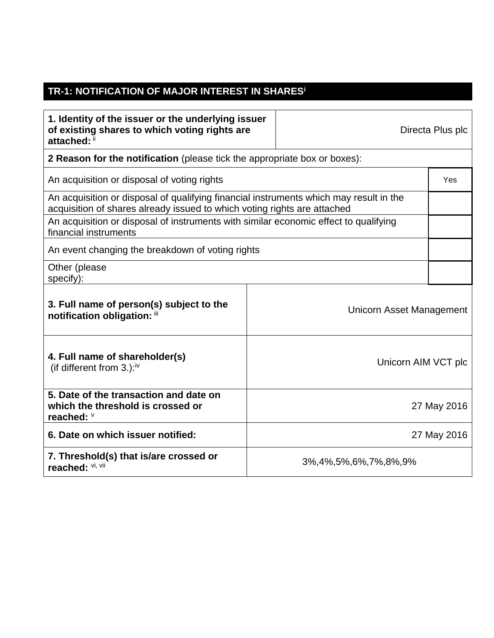## **TR-1: NOTIFICATION OF MAJOR INTEREST IN SHARES<sup>i</sup>**

| 1. Identity of the issuer or the underlying issuer<br>of existing shares to which voting rights are<br>attached: ii                                                |                     |                            | Directa Plus plc |  |
|--------------------------------------------------------------------------------------------------------------------------------------------------------------------|---------------------|----------------------------|------------------|--|
| 2 Reason for the notification (please tick the appropriate box or boxes):                                                                                          |                     |                            |                  |  |
| An acquisition or disposal of voting rights                                                                                                                        |                     |                            | Yes              |  |
| An acquisition or disposal of qualifying financial instruments which may result in the<br>acquisition of shares already issued to which voting rights are attached |                     |                            |                  |  |
| An acquisition or disposal of instruments with similar economic effect to qualifying<br>financial instruments                                                      |                     |                            |                  |  |
| An event changing the breakdown of voting rights                                                                                                                   |                     |                            |                  |  |
| Other (please<br>specify):                                                                                                                                         |                     |                            |                  |  |
| 3. Full name of person(s) subject to the<br>notification obligation: iii                                                                                           |                     | Unicorn Asset Management   |                  |  |
| 4. Full name of shareholder(s)<br>(if different from $3.$ ): <sup>iv</sup>                                                                                         | Unicorn AIM VCT plc |                            |                  |  |
| 5. Date of the transaction and date on<br>which the threshold is crossed or<br>reached: V                                                                          | 27 May 2016         |                            |                  |  |
| 6. Date on which issuer notified:                                                                                                                                  |                     | 27 May 2016                |                  |  |
| 7. Threshold(s) that is/are crossed or<br>reached: Vi, Vii                                                                                                         |                     | 3%, 4%, 5%, 6%, 7%, 8%, 9% |                  |  |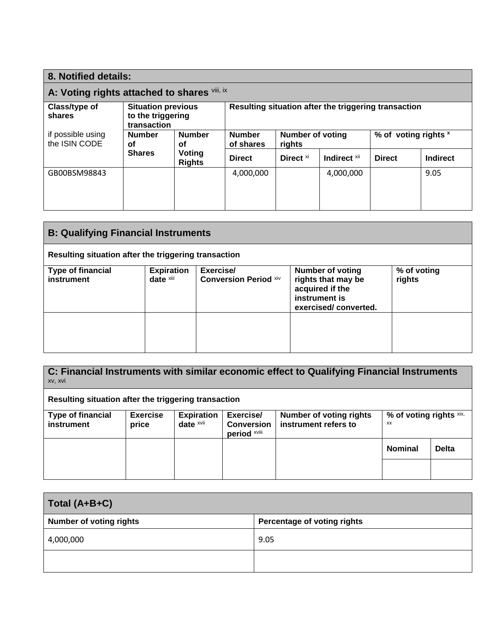| 8. Notified details:                         |                                                               |                            |                                   |                      |                                                      |               |          |
|----------------------------------------------|---------------------------------------------------------------|----------------------------|-----------------------------------|----------------------|------------------------------------------------------|---------------|----------|
| A: Voting rights attached to shares Vill, ix |                                                               |                            |                                   |                      |                                                      |               |          |
| Class/type of<br>shares                      | <b>Situation previous</b><br>to the triggering<br>transaction |                            |                                   |                      | Resulting situation after the triggering transaction |               |          |
| if possible using<br>the ISIN CODE           | <b>Number</b><br><b>Number</b><br>οf<br>οf                    | <b>Number</b><br>of shares | <b>Number of voting</b><br>rights |                      | % of voting rights x                                 |               |          |
|                                              | <b>Shares</b>                                                 | Voting<br><b>Rights</b>    | <b>Direct</b>                     | Direct <sup>xi</sup> | Indirect xii                                         | <b>Direct</b> | Indirect |
| GB00BSM98843                                 |                                                               |                            | 4,000,000                         |                      | 4,000,000                                            |               | 9.05     |

| <b>B: Qualifying Financial Instruments</b>           |                                |                                           |                                                                                                           |                       |
|------------------------------------------------------|--------------------------------|-------------------------------------------|-----------------------------------------------------------------------------------------------------------|-----------------------|
| Resulting situation after the triggering transaction |                                |                                           |                                                                                                           |                       |
| <b>Type of financial</b><br>instrument               | <b>Expiration</b><br>date xiii | Exercise/<br><b>Conversion Period xiv</b> | <b>Number of voting</b><br>rights that may be<br>acquired if the<br>instrument is<br>exercised/converted. | % of voting<br>rights |
|                                                      |                                |                                           |                                                                                                           |                       |

**C: Financial Instruments with similar economic effect to Qualifying Financial Instruments**  xv, xvi **Resulting situation after the triggering transaction Type of financial instrument Exercise price Expiration date** xvii **Exercise/ Conversion period** xviii **Number of voting rights instrument refers to % of voting rights** xix, xx **Nominal Delta**

| Total (A+B+C)                  |  |                             |  |  |
|--------------------------------|--|-----------------------------|--|--|
|                                |  |                             |  |  |
| <b>Number of voting rights</b> |  | Percentage of voting rights |  |  |

| Number of voting rights | Percentage or voting rights |
|-------------------------|-----------------------------|
| 4,000,000               | 9.05                        |
|                         |                             |